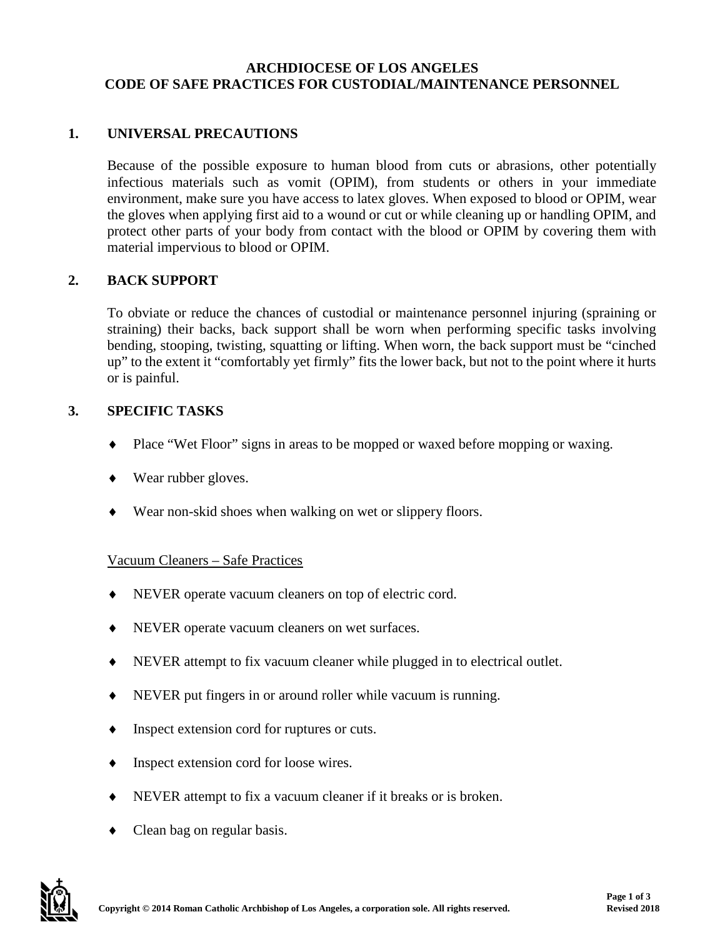#### **ARCHDIOCESE OF LOS ANGELES CODE OF SAFE PRACTICES FOR CUSTODIAL/MAINTENANCE PERSONNEL**

# **1. UNIVERSAL PRECAUTIONS**

Because of the possible exposure to human blood from cuts or abrasions, other potentially infectious materials such as vomit (OPIM), from students or others in your immediate environment, make sure you have access to latex gloves. When exposed to blood or OPIM, wear the gloves when applying first aid to a wound or cut or while cleaning up or handling OPIM, and protect other parts of your body from contact with the blood or OPIM by covering them with material impervious to blood or OPIM.

## **2. BACK SUPPORT**

To obviate or reduce the chances of custodial or maintenance personnel injuring (spraining or straining) their backs, back support shall be worn when performing specific tasks involving bending, stooping, twisting, squatting or lifting. When worn, the back support must be "cinched up" to the extent it "comfortably yet firmly" fits the lower back, but not to the point where it hurts or is painful.

## **3. SPECIFIC TASKS**

- ♦ Place "Wet Floor" signs in areas to be mopped or waxed before mopping or waxing.
- ♦ Wear rubber gloves.
- ♦ Wear non-skid shoes when walking on wet or slippery floors.

## Vacuum Cleaners – Safe Practices

- ♦ NEVER operate vacuum cleaners on top of electric cord.
- NEVER operate vacuum cleaners on wet surfaces.
- ♦ NEVER attempt to fix vacuum cleaner while plugged in to electrical outlet.
- NEVER put fingers in or around roller while vacuum is running.
- Inspect extension cord for ruptures or cuts.
- Inspect extension cord for loose wires.
- NEVER attempt to fix a vacuum cleaner if it breaks or is broken.
- Clean bag on regular basis.

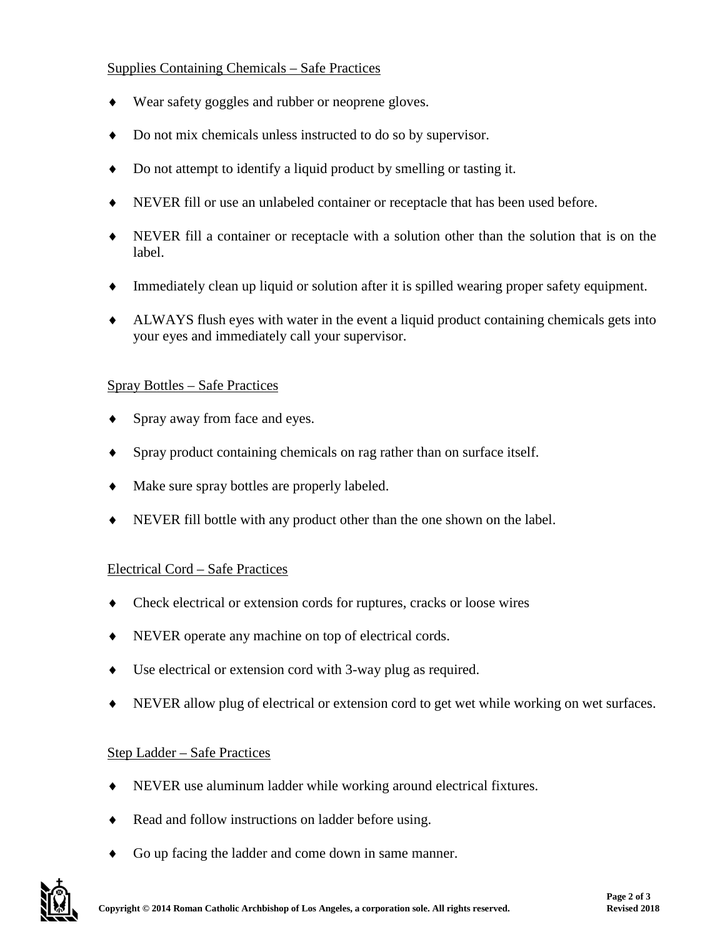## Supplies Containing Chemicals – Safe Practices

- ♦ Wear safety goggles and rubber or neoprene gloves.
- ♦ Do not mix chemicals unless instructed to do so by supervisor.
- ♦ Do not attempt to identify a liquid product by smelling or tasting it.
- ♦ NEVER fill or use an unlabeled container or receptacle that has been used before.
- ♦ NEVER fill a container or receptacle with a solution other than the solution that is on the label.
- ♦ Immediately clean up liquid or solution after it is spilled wearing proper safety equipment.
- ♦ ALWAYS flush eyes with water in the event a liquid product containing chemicals gets into your eyes and immediately call your supervisor.

## Spray Bottles – Safe Practices

- ♦ Spray away from face and eyes.
- ♦ Spray product containing chemicals on rag rather than on surface itself.
- ♦ Make sure spray bottles are properly labeled.
- ♦ NEVER fill bottle with any product other than the one shown on the label.

## Electrical Cord – Safe Practices

- ♦ Check electrical or extension cords for ruptures, cracks or loose wires
- ♦ NEVER operate any machine on top of electrical cords.
- ♦ Use electrical or extension cord with 3-way plug as required.
- NEVER allow plug of electrical or extension cord to get wet while working on wet surfaces.

## Step Ladder – Safe Practices

- ♦ NEVER use aluminum ladder while working around electrical fixtures.
- ♦ Read and follow instructions on ladder before using.
- ♦ Go up facing the ladder and come down in same manner.